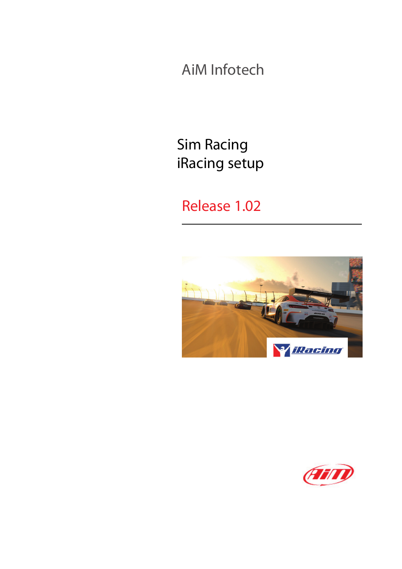AiM Infotech

Sim Racing iRacing setup

## Release 1.02



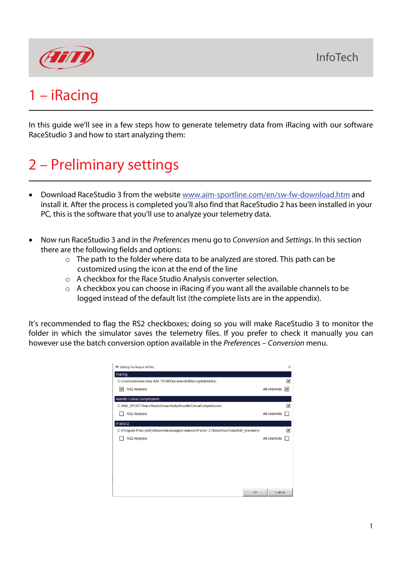

## 1 – iRacing

In this guide we'll see in a few steps how to generate telemetry data from iRacing with our software RaceStudio 3 and how to start analyzing them:

# 2 – Preliminary settings

- Download RaceStudio 3 from the website [www.aim-sportline.com/en/sw-fw-download.htm](http://www.aim-sportline.com/en/sw-fw-download.htm) and install it. After the process is completed you'll also find that RaceStudio 2 has been installed in your PC, this is the software that you'll use to analyze your telemetry data.
- Now run RaceStudio 3 and in the *Preferences* menu go to *Conversion* and *Settings*. In this section there are the following fields and options:
	- o The path to the folder where data to be analyzed are stored. This path can be customized using the icon at the end of the line
	- o A checkbox for the Race Studio Analysis converter selection.
	- o A checkbox you can choose in iRacing if you want all the available channels to be logged instead of the default list (the complete lists are in the appendix).

It's recommended to flag the RS2 checkboxes; doing so you will make RaceStudio 3 to monitor the folder in which the simulator saves the telemetry files. If you prefer to check it manually you can however use the batch conversion option available in the *Preferences* – *Conversion* menu.

| Settings for Import of Files                                                         |              | $\times$ |
|--------------------------------------------------------------------------------------|--------------|----------|
| <b>iRacing</b>                                                                       |              |          |
| C:\Users\emiliano.bina.AIM-TECH\Documents\iRacing\telemetry\                         |              | z        |
| <b>RS2 Analysis</b><br>M                                                             | All channels | M        |
| Assetto Corsa Competizione                                                           |              |          |
| C:/AIM_SPORT/RaceStudio3/user/data/AssettoCorsaCompetizione/                         |              | z        |
| <b>RS2 Analysis</b>                                                                  | All channels |          |
| rFactor2                                                                             |              |          |
| C:\Program Files (x86)/Steam/steamapps/common/rFactor 2 Demo/UserData/AiM_telemetry/ |              | z        |
| <b>RS2 Analysis</b>                                                                  | All channels |          |
|                                                                                      |              |          |
|                                                                                      |              |          |
|                                                                                      |              |          |
|                                                                                      |              |          |
|                                                                                      |              |          |
| OK                                                                                   | Cancel       |          |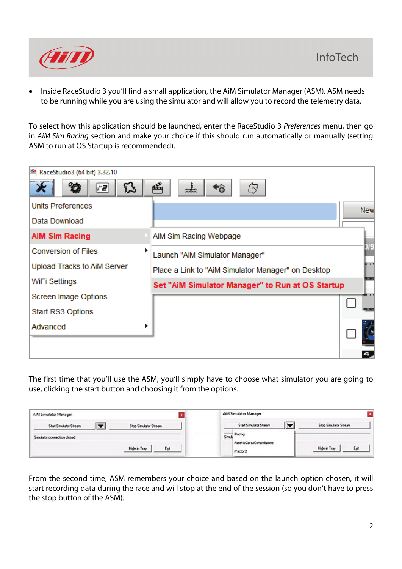

• Inside RaceStudio 3 you'll find a small application, the AiM Simulator Manager (ASM). ASM needs to be running while you are using the simulator and will allow you to record the telemetry data.

To select how this application should be launched, enter the RaceStudio 3 *Preferences* menu, then go in *AiM Sim Racing* section and make your choice if this should run automatically or manually (setting ASM to run at OS Startup is recommended).

| RaceStudio3 (64 bit) 3.32.10    |                                                    |                 |
|---------------------------------|----------------------------------------------------|-----------------|
| દિક<br>(∱2                      | 凾<br>ᅹ<br>Ğ,                                       |                 |
| <b>Units Preferences</b>        |                                                    | <b>New</b>      |
| Data Download                   |                                                    |                 |
| <b>AiM Sim Racing</b>           | AiM Sim Racing Webpage                             |                 |
| <b>Conversion of Files</b><br>▶ | Launch "AiM Simulator Manager"                     | )/9             |
| Upload Tracks to AiM Server     | Place a Link to "AiM Simulator Manager" on Desktop | in a t          |
| WiFi Settings                   | Set "AiM Simulator Manager" to Run at OS Startup   | <b>Fa casti</b> |
| Screen Image Options            |                                                    |                 |
| Start RS3 Options               |                                                    | <b>74 GOD</b>   |
| Advanced                        |                                                    |                 |
|                                 |                                                    |                 |
|                                 |                                                    |                 |

The first time that you'll use the ASM, you'll simply have to choose what simulator you are going to use, clicking the start button and choosing it from the options.

| AiM Simulator Manager                                                           | AiM Simulator Manager                                             |                       |
|---------------------------------------------------------------------------------|-------------------------------------------------------------------|-----------------------|
| <b>COMPANY</b><br><b>Start Simulator Stream</b><br><b>Stop Simulator Stream</b> | <b>Common</b><br><b>Start Simulator Stream</b>                    | Stop Simulator Stream |
| Simulator connection closed<br>Esk<br>High in Tray                              | Simul <sub>k</sub> Racing<br>AssettoCorsaCompetizione<br>rFactor2 | Hide in Tray<br>Egit  |

From the second time, ASM remembers your choice and based on the launch option chosen, it will start recording data during the race and will stop at the end of the session (so you don't have to press the stop button of the ASM).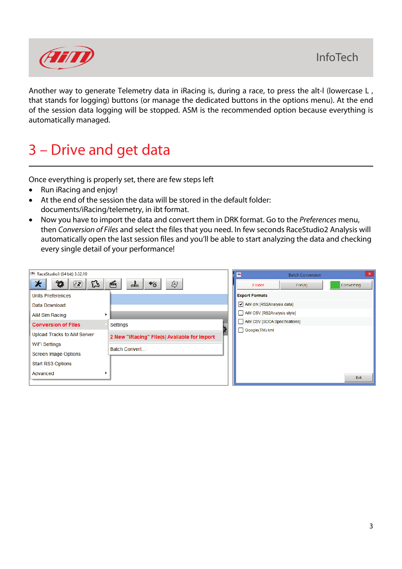

Another way to generate Telemetry data in iRacing is, during a race, to press the alt-I (lowercase L, that stands for logging) buttons (or manage the dedicated buttons in the options menu). At the end of the session data logging will be stopped. ASM is the recommended option because everything is automatically managed.

## 3 – Drive and get data

Once everything is properly set, there are few steps left

- Run iRacing and enjoy!
- At the end of the session the data will be stored in the default folder: documents/iRacing/telemetry, in ibt format.
- Now you have to import the data and convert them in DRK format. Go to the *Preferences* menu, then *Conversion of Files* and select the files that you need. In few seconds RaceStudio2 Analysis will automatically open the last session files and you'll be able to start analyzing the data and checking every single detail of your performance!

| RaceStudio3 (64 bit) 3.32.10   |                                              | $\overline{\mathbf{S}}$       | <b>Batch Conversion</b> | $\times$          |
|--------------------------------|----------------------------------------------|-------------------------------|-------------------------|-------------------|
| $^o\mathbf{Q}$<br>⋇<br>B<br>⊬⊇ | 凾<br>令<br>$\star_{\mathbf{0}}$<br>ᅹ          | Folder                        | File(s)                 | <b>Converting</b> |
| Units Preferences              |                                              | <b>Export Formats</b>         |                         |                   |
| Data Download                  |                                              | AiM drk [RS2Analysis data]    |                         |                   |
| AiM Sim Racing                 |                                              | AiM CSV [RS2Analysis style]   |                         |                   |
| <b>Conversion of Files</b>     | Settings                                     | AiM CSV [SCCA Specifications] |                         |                   |
| Upload Tracks to AiM Server    | 2 New "iRacing" File(s) Available for Import | Google(TM) kml                |                         |                   |
| <b>WiFi Settings</b>           | Batch Convert                                |                               |                         |                   |
| <b>Screen Image Options</b>    |                                              |                               |                         |                   |
| Start RS3 Options              |                                              |                               |                         |                   |
| Advanced                       |                                              |                               |                         | Exit              |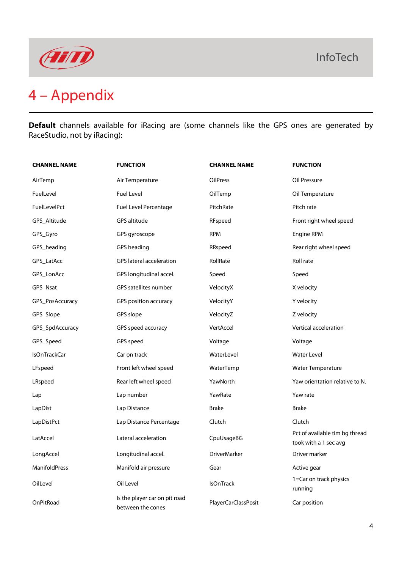

# 4 – Appendix

**Default** channels available for iRacing are (some channels like the GPS ones are generated by RaceStudio, not by iRacing):

| <b>CHANNEL NAME</b> | <b>FUNCTION</b>                                    | <b>CHANNEL NAME</b> | <b>FUNCTION</b>                                         |
|---------------------|----------------------------------------------------|---------------------|---------------------------------------------------------|
| AirTemp             | Air Temperature                                    | <b>OilPress</b>     | Oil Pressure                                            |
| FuelLevel           | Fuel Level                                         | OilTemp             | Oil Temperature                                         |
| FuelLevelPct        | <b>Fuel Level Percentage</b>                       | PitchRate           | Pitch rate                                              |
| GPS Altitude        | GPS altitude                                       | RFspeed             | Front right wheel speed                                 |
| GPS_Gyro            | GPS gyroscope                                      | <b>RPM</b>          | Engine RPM                                              |
| GPS_heading         | GPS heading                                        | RRspeed             | Rear right wheel speed                                  |
| GPS_LatAcc          | <b>GPS</b> lateral acceleration                    | RollRate            | Roll rate                                               |
| GPS_LonAcc          | GPS longitudinal accel.                            | Speed               | Speed                                                   |
| GPS_Nsat            | GPS satellites number                              | VelocityX           | X velocity                                              |
| GPS_PosAccuracy     | GPS position accuracy                              | VelocityY           | Y velocity                                              |
| GPS_Slope           | GPS slope                                          | VelocityZ           | Z velocity                                              |
| GPS_SpdAccuracy     | GPS speed accuracy                                 | VertAccel           | Vertical acceleration                                   |
| GPS_Speed           | GPS speed                                          | Voltage             | Voltage                                                 |
| <b>IsOnTrackCar</b> | Car on track                                       | WaterLevel          | <b>Water Level</b>                                      |
| LFspeed             | Front left wheel speed                             | WaterTemp           | Water Temperature                                       |
| LRspeed             | Rear left wheel speed                              | YawNorth            | Yaw orientation relative to N.                          |
| Lap                 | Lap number                                         | YawRate             | Yaw rate                                                |
| LapDist             | Lap Distance                                       | <b>Brake</b>        | <b>Brake</b>                                            |
| LapDistPct          | Lap Distance Percentage                            | Clutch              | Clutch                                                  |
| LatAccel            | Lateral acceleration                               | CpuUsageBG          | Pct of available tim bg thread<br>took with a 1 sec avg |
| LongAccel           | Longitudinal accel.                                | <b>DriverMarker</b> | Driver marker                                           |
| ManifoldPress       | Manifold air pressure                              | Gear                | Active gear                                             |
| OilLevel            | Oil Level                                          | <b>IsOnTrack</b>    | 1=Car on track physics<br>running                       |
| OnPitRoad           | Is the player car on pit road<br>between the cones | PlayerCarClassPosit | Car position                                            |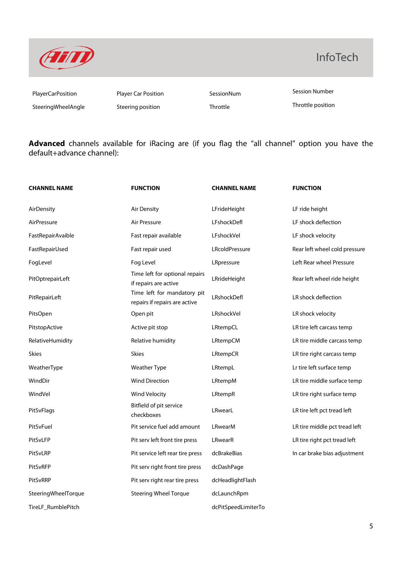

### InfoTech

SteeringWheelAngle Steering position Steering throttle Throttle Throttle position

PlayerCarPosition Player Car Position SessionNum Session Number

**Advanced** channels available for iRacing are (if you flag the "all channel" option you have the default+advance channel):

| <b>CHANNEL NAME</b> | <b>FUNCTION</b>                                              | <b>CHANNEL NAME</b> | <b>FUNCTION</b>               |
|---------------------|--------------------------------------------------------------|---------------------|-------------------------------|
| AirDensity          | Air Density                                                  | LFrideHeight        | LF ride height                |
| AirPressure         | Air Pressure                                                 | LFshockDefl         | LF shock deflection           |
| FastRepairAvaible   | Fast repair available                                        | LFshockVel          | LF shock velocity             |
| FastRepairUsed      | Fast repair used                                             | LRcoldPressure      | Rear left wheel cold pressure |
| FogLevel            | Fog Level                                                    | LRpressure          | Left Rear wheel Pressure      |
| PitOptrepairLeft    | Time left for optional repairs<br>if repairs are active      | LRrideHeight        | Rear left wheel ride height   |
| PitRepairLeft       | Time left for mandatory pit<br>repairs if repairs are active | LRshockDefl         | LR shock deflection           |
| PitsOpen            | Open pit                                                     | LRshockVel          | LR shock velocity             |
| PitstopActive       | Active pit stop                                              | LRtempCL            | LR tire left carcass temp     |
| RelativeHumidity    | Relative humidity                                            | LRtempCM            | LR tire middle carcass temp   |
| <b>Skies</b>        | <b>Skies</b>                                                 | LRtempCR            | LR tire right carcass temp    |
| WeatherType         | <b>Weather Type</b>                                          | LRtempL             | Lr tire left surface temp     |
| WindDir             | <b>Wind Direction</b>                                        | LRtempM             | LR tire middle surface temp   |
| WindVel             | Wind Velocity                                                | LRtempR             | LR tire right surface temp    |
| PitSvFlags          | Bitfield of pit service<br>checkboxes                        | LRwearL             | LR tire left pct tread left   |
| PitSvFuel           | Pit service fuel add amount                                  | LRwearM             | LR tire middle pct tread left |
| PitSvLFP            | Pit serv left front tire press                               | LRwearR             | LR tire right pct tread left  |
| PitSvLRP            | Pit service left rear tire press                             | dcBrakeBias         | In car brake bias adjustment  |
| PitSvRFP            | Pit serv right front tire press                              | dcDashPage          |                               |
| PitSvRRP            | Pit serv right rear tire press                               | dcHeadlightFlash    |                               |
| SteeringWheelTorque | <b>Steering Wheel Torque</b>                                 | dcLaunchRpm         |                               |
| TireLF_RumblePitch  |                                                              | dcPitSpeedLimiterTo |                               |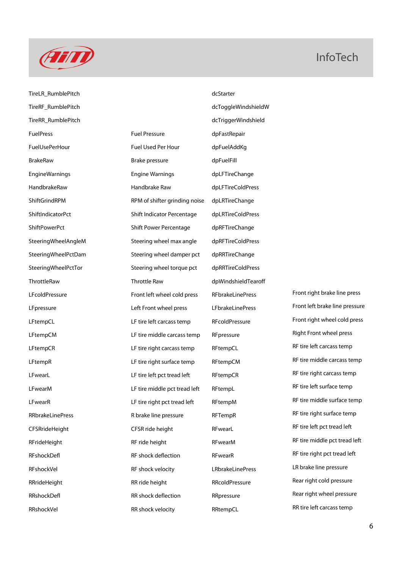

#### **InfoTech**

TireLR\_RumblePitch dcStarter TireRF\_RumblePitch dcToggleWindshieldW TireRR\_RumblePitch dcTriggerWindshield FuelPress Fuel Pressure dpFastRepair FuelUsePerHour Fuel Used Per Hour dpFuelAddKg BrakeRaw Brake pressure dpFuelFill EngineWarnings Engine Warnings dpLFTireChange HandbrakeRaw Handbrake Raw dpLFTireColdPress ShiftGrindRPM RPM of shifter grinding noise dpLRTireChange ShiftIndicatorPct ShiftIndicator Percentage dpLRTireColdPress ShiftPowerPct Shift Power Percentage dpRFTireChange SteeringWheelAngleM Steering wheel max angle dpRFTireColdPress SteeringWheelPctDam Steering wheel damper pct dpRRTireChange SteeringWheelPctTor Steering wheel torque pct dpRRTireColdPress ThrottleRaw Throttle Raw dpWindshieldTearoff LFcoldPressure **Example 20** Front left wheel cold press RFbrakeLinePress Front right brake line press LFpressure Left Front wheel press LEFbrakeLinePress Front left brake line pressure LFtempCL LFtire left carcass temp RFcoldPressure Front right wheel cold press LFtempCM LET tire middle carcass temp RFpressure Right Front wheel press LFtempCR LET tire right carcass temp RFtempCL RF tire left carcass temp LFtempR LET tire right surface temp RFtempCM RF tire middle carcass temp LFwearL **Lettian Communist LEF tire left pct tread left** RFtempCR RFtempCR RFtire right carcass temp LFwearM **Letting LE tire middle pct tread left** RFtempL RF tire left surface temp LFwearR **Letting the Contract LET time right pct tread left** RFtempM RF tire middle surface temp RRbrakeLinePress **RIGTER REDETER RETERVIER REGALISION** REFTempR REFTempR RFTemp RETERVIER REGALISION REGALISION CFSRrideHeight CFSR ride height RFwearL REGIST REFRIGE REFRIGE REGISTER REGISTER REGISTER REGISTER RFrideHeight **REXEN RF ride height** RF wearM RF tire middle pct tread left RFshockDefl RFshock deflection RFwearR RF tire right pct tread left RFshockVel **RFshock velocity** LRbrakeLinePress **LRB** brake line pressure RRrideHeight RR ride height RRcoldPressure Rear right cold pressure RRshockDefl **RRShockDefl** RRShock deflection RRpressure Rear right wheel pressure

RRshockVel **RRShockVel** RR shock velocity RRtempCL RRShockVel RR tire left carcass temp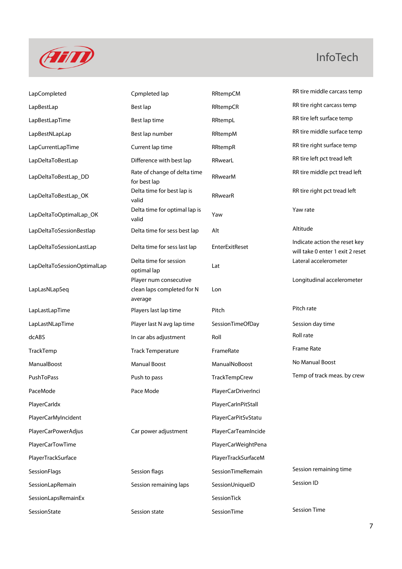

## InfoTech

| LapCompleted                | Cpmpleted lap                                                   | RRtempCM            | RR tire middle carcass temp                                       |
|-----------------------------|-----------------------------------------------------------------|---------------------|-------------------------------------------------------------------|
| LapBestLap                  | Best lap                                                        | RRtempCR            | RR tire right carcass temp                                        |
| LapBestLapTime              | Best lap time                                                   | RRtempL             | RR tire left surface temp                                         |
| LapBestNLapLap              | Best lap number                                                 | RRtempM             | RR tire middle surface temp                                       |
| LapCurrentLapTime           | Current lap time                                                | RRtempR             | RR tire right surface temp                                        |
| LapDeltaToBestLap           | Difference with best lap                                        | RRwearL             | RR tire left pct tread left                                       |
| LapDeltaToBestLap_DD        | Rate of change of delta time<br>for best lap                    | RRwearM             | RR tire middle pct tread left                                     |
| LapDeltaToBestLap_OK        | Delta time for best lap is<br>valid                             | RRwearR             | RR tire right pct tread left                                      |
| LapDeltaToOptimalLap_OK     | Delta time for optimal lap is<br>valid                          | Yaw                 | Yaw rate                                                          |
| LapDeltaToSessionBestlap    | Delta time for sess best lap                                    | Alt                 | Altitude                                                          |
| LapDeltaToSessionLastLap    | Delta time for sess last lap                                    | EnterExitReset      | Indicate action the reset key<br>will take 0 enter 1 exit 2 reset |
| LapDeltaToSessionOptimalLap | Delta time for session<br>optimal lap                           | Lat                 | Lateral accelerometer                                             |
| LapLasNLapSeq               | Player num consecutive<br>clean laps completed for N<br>average | Lon                 | Longitudinal accelerometer                                        |
| LapLastLapTime              | Players last lap time                                           | Pitch               | Pitch rate                                                        |
| LapLastNLapTime             | Player last N avg lap time                                      | SessionTimeOfDay    | Session day time                                                  |
| dcABS                       | In car abs adjustment                                           | Roll                | Roll rate                                                         |
| TrackTemp                   | <b>Track Temperature</b>                                        | FrameRate           | Frame Rate                                                        |
| ManualBoost                 | <b>Manual Boost</b>                                             | ManualNoBoost       | No Manual Boost                                                   |
| PushToPass                  | Push to pass                                                    | TrackTempCrew       | Temp of track meas. by crew                                       |
| PaceMode                    | Pace Mode                                                       | PlayerCarDriverInci |                                                                   |
| PlayerCarldx                |                                                                 | PlayerCarInPitStall |                                                                   |
| PlayerCarMyIncident         |                                                                 | PlayerCarPitSvStatu |                                                                   |
| PlayerCarPowerAdjus         | Car power adjustment                                            | PlayerCarTeamIncide |                                                                   |
| PlayerCarTowTime            |                                                                 | PlayerCarWeightPena |                                                                   |
| PlayerTrackSurface          |                                                                 | PlayerTrackSurfaceM |                                                                   |
| SessionFlags                | Session flags                                                   | SessionTimeRemain   | Session remaining time                                            |
| SessionLapRemain            | Session remaining laps                                          | SessionUniquelD     | Session ID                                                        |
| SessionLapsRemainEx         |                                                                 | SessionTick         |                                                                   |
| SessionState                | Session state                                                   | SessionTime         | <b>Session Time</b>                                               |